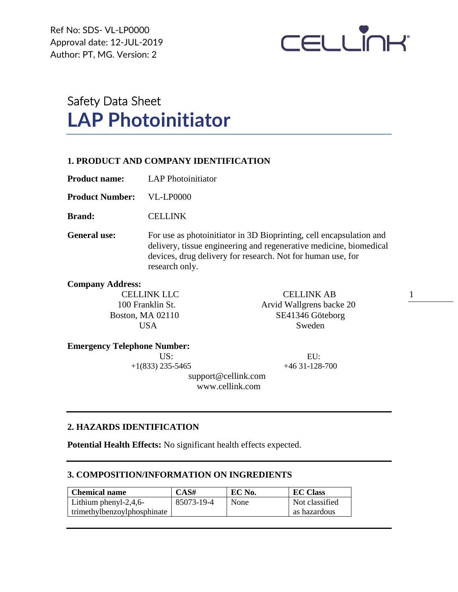Ref No: SDS- VL-LP0000 Approval date: 12-JUL-2019 Author: PT, MG. Version: 2



# Safety Data Sheet **LAP Photoinitiator**

# **1. PRODUCT AND COMPANY IDENTIFICATION**

**Product name:** LAP Photoinitiator

**Product Number:** VL-LP0000

**Brand:** CELLINK

General use: For use as photoinitiator in 3D Bioprinting, cell encapsulation and delivery, tissue engineering and regenerative medicine, biomedical devices, drug delivery for research. Not for human use, for research only.

## **Company Address:**

CELLINK LLC CELLINK AB 100 Franklin St. Arvid Wallgrens backe 20 Boston, MA 02110 SE41346 Göteborg USA Sweden

1

## **Emergency Telephone Number:**

US: EU:

 $+1(833)$  235-5465  $+46$  31-128-700

 support@cellink.com www.cellink.com

# **2. HAZARDS IDENTIFICATION**

**Potential Health Effects:** No significant health effects expected.

# **3. COMPOSITION/INFORMATION ON INGREDIENTS**

| <b>Chemical name</b>        | CAS#       | EC No. | <b>EC Class</b> |
|-----------------------------|------------|--------|-----------------|
| Lithium phenyl-2,4,6-       | 85073-19-4 | None   | Not classified  |
| trimethylbenzoylphosphinate |            |        | as hazardous    |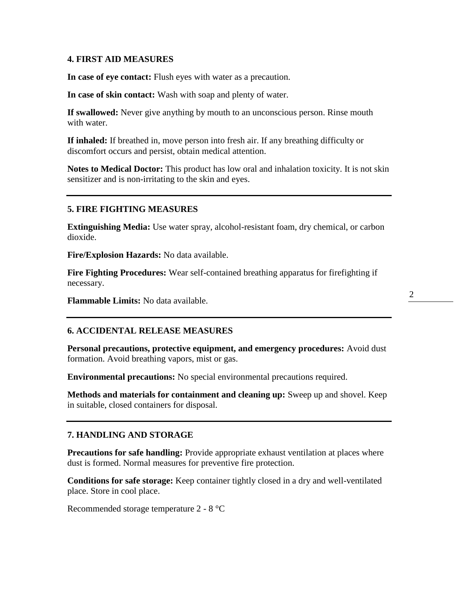## **4. FIRST AID MEASURES**

**In case of eye contact:** Flush eyes with water as a precaution.

**In case of skin contact:** Wash with soap and plenty of water.

**If swallowed:** Never give anything by mouth to an unconscious person. Rinse mouth with water.

**If inhaled:** If breathed in, move person into fresh air. If any breathing difficulty or discomfort occurs and persist, obtain medical attention.

**Notes to Medical Doctor:** This product has low oral and inhalation toxicity. It is not skin sensitizer and is non-irritating to the skin and eyes.

## **5. FIRE FIGHTING MEASURES**

**Extinguishing Media:** Use water spray, alcohol-resistant foam, dry chemical, or carbon dioxide.

**Fire/Explosion Hazards:** No data available.

**Fire Fighting Procedures:** Wear self-contained breathing apparatus for firefighting if necessary.

**Flammable Limits:** No data available.

#### **6. ACCIDENTAL RELEASE MEASURES**

**Personal precautions, protective equipment, and emergency procedures:** Avoid dust formation. Avoid breathing vapors, mist or gas.

**Environmental precautions:** No special environmental precautions required.

**Methods and materials for containment and cleaning up:** Sweep up and shovel. Keep in suitable, closed containers for disposal.

#### **7. HANDLING AND STORAGE**

**Precautions for safe handling:** Provide appropriate exhaust ventilation at places where dust is formed. Normal measures for preventive fire protection.

**Conditions for safe storage:** Keep container tightly closed in a dry and well-ventilated place. Store in cool place.

Recommended storage temperature 2 - 8 °C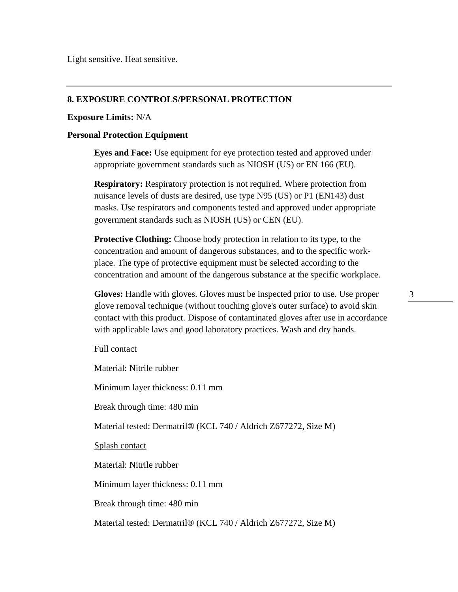Light sensitive. Heat sensitive.

## **8. EXPOSURE CONTROLS/PERSONAL PROTECTION**

#### **Exposure Limits:** N/A

#### **Personal Protection Equipment**

**Eyes and Face:** Use equipment for eye protection tested and approved under appropriate government standards such as NIOSH (US) or EN 166 (EU).

**Respiratory:** Respiratory protection is not required. Where protection from nuisance levels of dusts are desired, use type N95 (US) or P1 (EN143) dust masks. Use respirators and components tested and approved under appropriate government standards such as NIOSH (US) or CEN (EU).

**Protective Clothing:** Choose body protection in relation to its type, to the concentration and amount of dangerous substances, and to the specific workplace. The type of protective equipment must be selected according to the concentration and amount of the dangerous substance at the specific workplace.

**Gloves:** Handle with gloves. Gloves must be inspected prior to use. Use proper glove removal technique (without touching glove's outer surface) to avoid skin contact with this product. Dispose of contaminated gloves after use in accordance with applicable laws and good laboratory practices. Wash and dry hands.

#### Full contact

Material: Nitrile rubber Minimum layer thickness: 0.11 mm Break through time: 480 min Material tested: Dermatril® (KCL 740 / Aldrich Z677272, Size M) Splash contact Material: Nitrile rubber Minimum layer thickness: 0.11 mm Break through time: 480 min Material tested: Dermatril® (KCL 740 / Aldrich Z677272, Size M) 3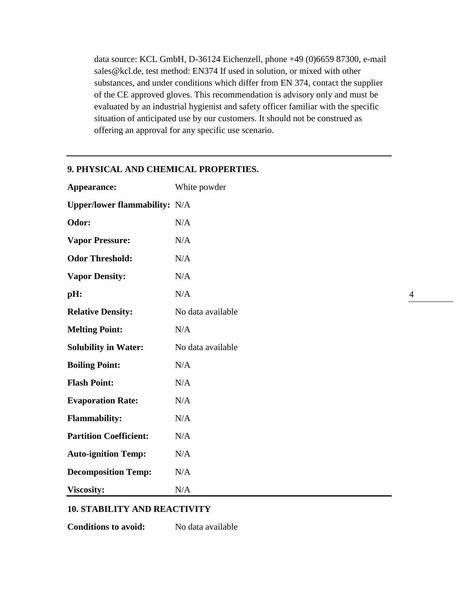data source: KCL GmbH, D-36124 Eichenzell, phone +49 (0)6659 87300, e-mail sales@kcl.de, test method: EN374 If used in solution, or mixed with other substances, and under conditions which differ from EN 374, contact the supplier of the CE approved gloves. This recommendation is advisory only and must be evaluated by an industrial hygienist and safety officer familiar with the specific situation of anticipated use by our customers. It should not be construed as offering an approval for any specific use scenario.

| Appearance:                          | White powder      |  |
|--------------------------------------|-------------------|--|
| <b>Upper/lower flammability:</b> N/A |                   |  |
| Odor:                                | N/A               |  |
| <b>Vapor Pressure:</b>               | N/A               |  |
| <b>Odor Threshold:</b>               | N/A               |  |
| <b>Vapor Density:</b>                | N/A               |  |
| pH:                                  | N/A               |  |
| <b>Relative Density:</b>             | No data available |  |
| <b>Melting Point:</b>                | N/A               |  |
| <b>Solubility in Water:</b>          | No data available |  |
| <b>Boiling Point:</b>                | N/A               |  |
| <b>Flash Point:</b>                  | N/A               |  |
| <b>Evaporation Rate:</b>             | N/A               |  |
| <b>Flammability:</b>                 | N/A               |  |
| <b>Partition Coefficient:</b>        | N/A               |  |
| <b>Auto-ignition Temp:</b>           | N/A               |  |
| <b>Decomposition Temp:</b>           | N/A               |  |
| <b>Viscosity:</b>                    | N/A               |  |

# **9. PHYSICAL AND CHEMICAL PROPERTIES.**

#### **10. STABILITY AND REACTIVITY**

**Conditions to avoid:** No data available

4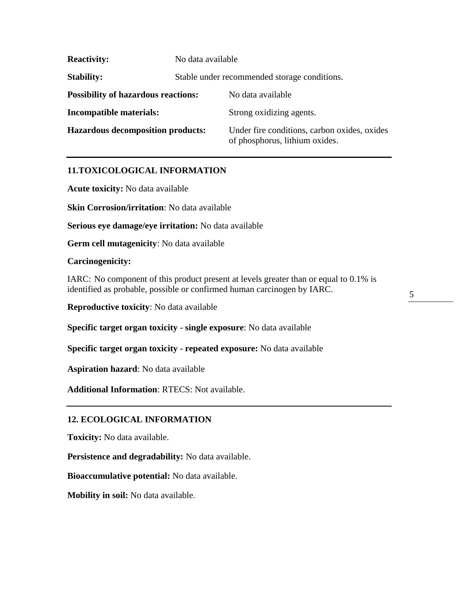| <b>Reactivity:</b>                         | No data available                            |                                                                                |
|--------------------------------------------|----------------------------------------------|--------------------------------------------------------------------------------|
| <b>Stability:</b>                          | Stable under recommended storage conditions. |                                                                                |
| <b>Possibility of hazardous reactions:</b> |                                              | No data available                                                              |
| <b>Incompatible materials:</b>             |                                              | Strong oxidizing agents.                                                       |
| <b>Hazardous decomposition products:</b>   |                                              | Under fire conditions, carbon oxides, oxides<br>of phosphorus, lithium oxides. |

# **11.TOXICOLOGICAL INFORMATION**

**Acute toxicity:** No data available

**Skin Corrosion/irritation**: No data available

**Serious eye damage/eye irritation:** No data available

**Germ cell mutagenicity**: No data available

## **Carcinogenicity:**

IARC: No component of this product present at levels greater than or equal to 0.1% is identified as probable, possible or confirmed human carcinogen by IARC.

**Reproductive toxicity**: No data available

**Specific target organ toxicity - single exposure**: No data available

**Specific target organ toxicity - repeated exposure:** No data available

**Aspiration hazard**: No data available

**Additional Information**: RTECS: Not available.

## **12. ECOLOGICAL INFORMATION**

**Toxicity:** No data available.

**Persistence and degradability:** No data available.

**Bioaccumulative potential:** No data available.

**Mobility in soil:** No data available.

5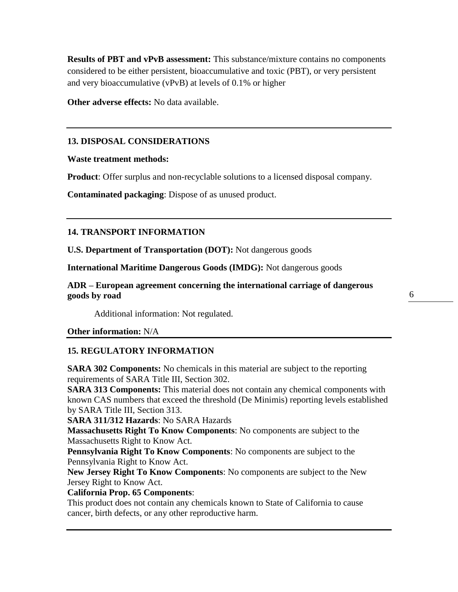**Results of PBT and vPvB assessment:** This substance/mixture contains no components considered to be either persistent, bioaccumulative and toxic (PBT), or very persistent and very bioaccumulative (vPvB) at levels of 0.1% or higher

**Other adverse effects:** No data available.

# **13. DISPOSAL CONSIDERATIONS**

## **Waste treatment methods:**

**Product**: Offer surplus and non-recyclable solutions to a licensed disposal company.

**Contaminated packaging**: Dispose of as unused product.

# **14. TRANSPORT INFORMATION**

**U.S. Department of Transportation (DOT):** Not dangerous goods

**International Maritime Dangerous Goods (IMDG):** Not dangerous goods

**ADR – European agreement concerning the international carriage of dangerous goods by road** 

Additional information: Not regulated.

**Other information:** N/A

# **15. REGULATORY INFORMATION**

**SARA 302 Components:** No chemicals in this material are subject to the reporting requirements of SARA Title III, Section 302.

**SARA 313 Components:** This material does not contain any chemical components with known CAS numbers that exceed the threshold (De Minimis) reporting levels established by SARA Title III, Section 313.

**SARA 311/312 Hazards**: No SARA Hazards

**Massachusetts Right To Know Components**: No components are subject to the Massachusetts Right to Know Act.

**Pennsylvania Right To Know Components**: No components are subject to the Pennsylvania Right to Know Act.

**New Jersey Right To Know Components**: No components are subject to the New Jersey Right to Know Act.

## **California Prop. 65 Components**:

This product does not contain any chemicals known to State of California to cause cancer, birth defects, or any other reproductive harm.